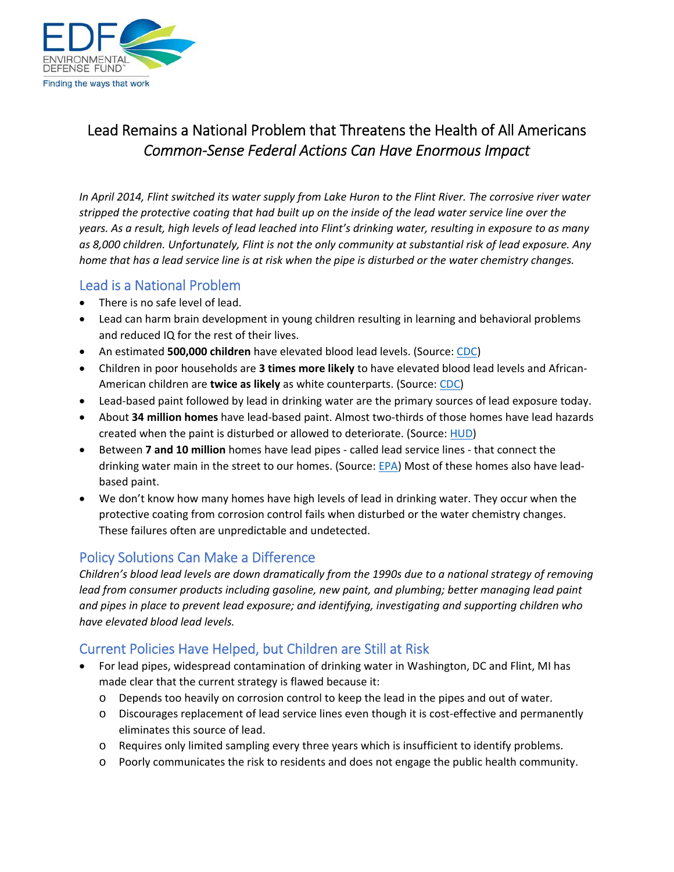

# Lead Remains a National Problem that Threatens the Health of All Americans *Common‐Sense Federal Actions Can Have Enormous Impact*

*In April 2014, Flint switched its water supply from Lake Huron to the Flint River. The corrosive river water stripped the protective coating that had built up on the inside of the lead water service line over the years. As a result, high levels of lead leached into Flint's drinking water, resulting in exposure to as many as 8,000 children. Unfortunately, Flint is not the only community at substantial risk of lead exposure. Any home that has a lead service line is at risk when the pipe is disturbed or the water chemistry changes.* 

### Lead is a National Problem

- There is no safe level of lead.
- Lead can harm brain development in young children resulting in learning and behavioral problems and reduced IQ for the rest of their lives.
- An estimated **500,000 children** have elevated blood lead levels. (Source: CDC)
- Children in poor households are **3 times more likely** to have elevated blood lead levels and African‐ American children are **twice as likely** as white counterparts. (Source: CDC)
- Lead-based paint followed by lead in drinking water are the primary sources of lead exposure today.
- About **34 million homes** have lead‐based paint. Almost two‐thirds of those homes have lead hazards created when the paint is disturbed or allowed to deteriorate. (Source: HUD)
- Between **7 and 10 million** homes have lead pipes called lead service lines that connect the drinking water main in the street to our homes. (Source: EPA) Most of these homes also have leadbased paint.
- We don't know how many homes have high levels of lead in drinking water. They occur when the protective coating from corrosion control fails when disturbed or the water chemistry changes. These failures often are unpredictable and undetected.

### Policy Solutions Can Make a Difference

*Children's blood lead levels are down dramatically from the 1990s due to a national strategy of removing lead from consumer products including gasoline, new paint, and plumbing; better managing lead paint and pipes in place to prevent lead exposure; and identifying, investigating and supporting children who have elevated blood lead levels.* 

## Current Policies Have Helped, but Children are Still at Risk

- For lead pipes, widespread contamination of drinking water in Washington, DC and Flint, MI has made clear that the current strategy is flawed because it:
	- o Depends too heavily on corrosion control to keep the lead in the pipes and out of water.
	- o Discourages replacement of lead service lines even though it is cost‐effective and permanently eliminates this source of lead.
	- o Requires only limited sampling every three years which is insufficient to identify problems.
	- o Poorly communicates the risk to residents and does not engage the public health community.